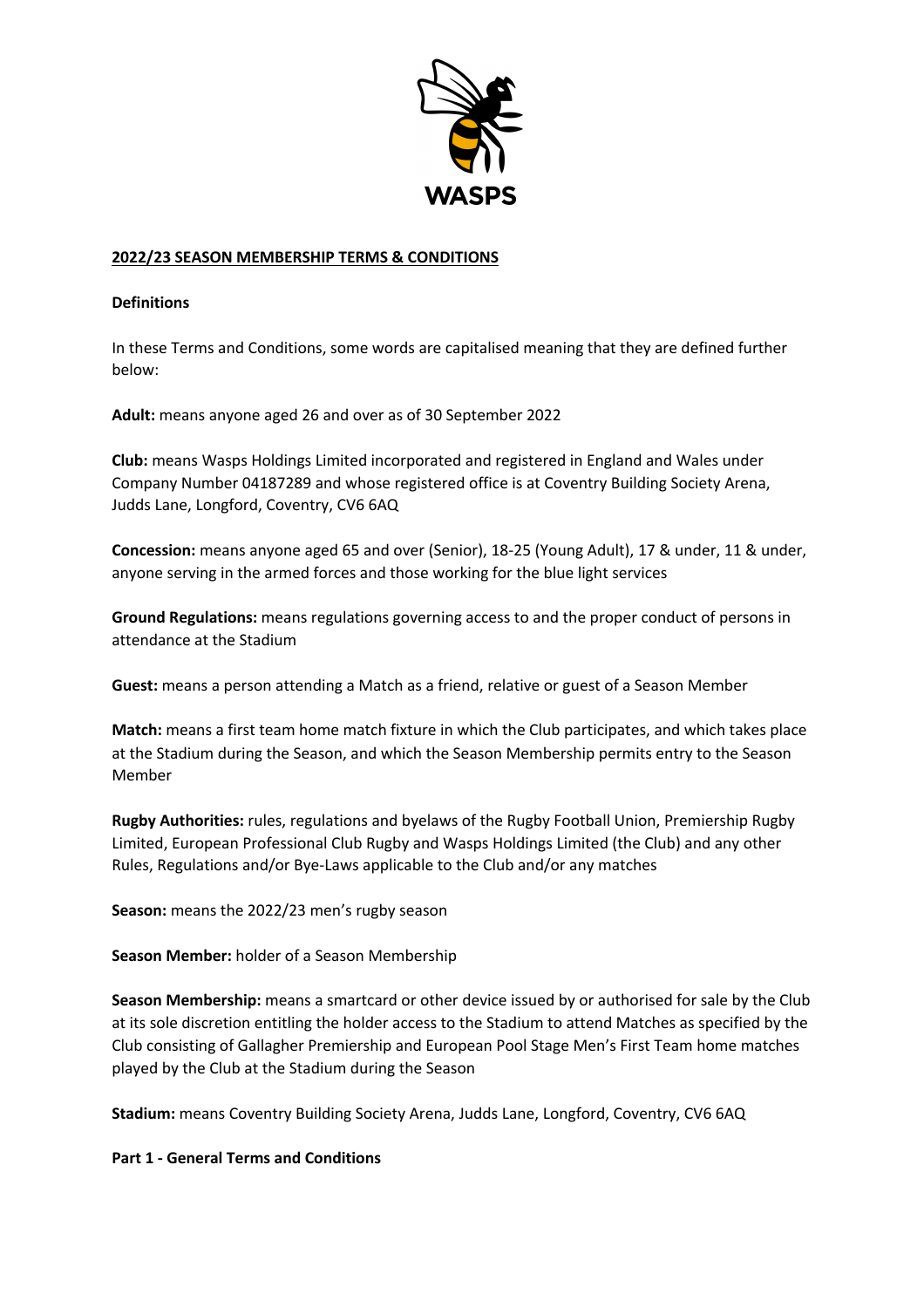

## **2022/23 SEASON MEMBERSHIP TERMS & CONDITIONS**

### **Definitions**

In these Terms and Conditions, some words are capitalised meaning that they are defined further below:

**Adult:** means anyone aged 26 and over as of 30 September 2022

**Club:** means Wasps Holdings Limited incorporated and registered in England and Wales under Company Number 04187289 and whose registered office is at Coventry Building Society Arena, Judds Lane, Longford, Coventry, CV6 6AQ

**Concession:** means anyone aged 65 and over (Senior), 18-25 (Young Adult), 17 & under, 11 & under, anyone serving in the armed forces and those working for the blue light services

**Ground Regulations:** means regulations governing access to and the proper conduct of persons in attendance at the Stadium

**Guest:** means a person attending a Match as a friend, relative or guest of a Season Member

**Match:** means a first team home match fixture in which the Club participates, and which takes place at the Stadium during the Season, and which the Season Membership permits entry to the Season Member

**Rugby Authorities:** rules, regulations and byelaws of the Rugby Football Union, Premiership Rugby Limited, European Professional Club Rugby and Wasps Holdings Limited (the Club) and any other Rules, Regulations and/or Bye-Laws applicable to the Club and/or any matches

**Season:** means the 2022/23 men's rugby season

**Season Member:** holder of a Season Membership

**Season Membership:** means a smartcard or other device issued by or authorised for sale by the Club at its sole discretion entitling the holder access to the Stadium to attend Matches as specified by the Club consisting of Gallagher Premiership and European Pool Stage Men's First Team home matches played by the Club at the Stadium during the Season

**Stadium:** means Coventry Building Society Arena, Judds Lane, Longford, Coventry, CV6 6AQ

#### **Part 1 - General Terms and Conditions**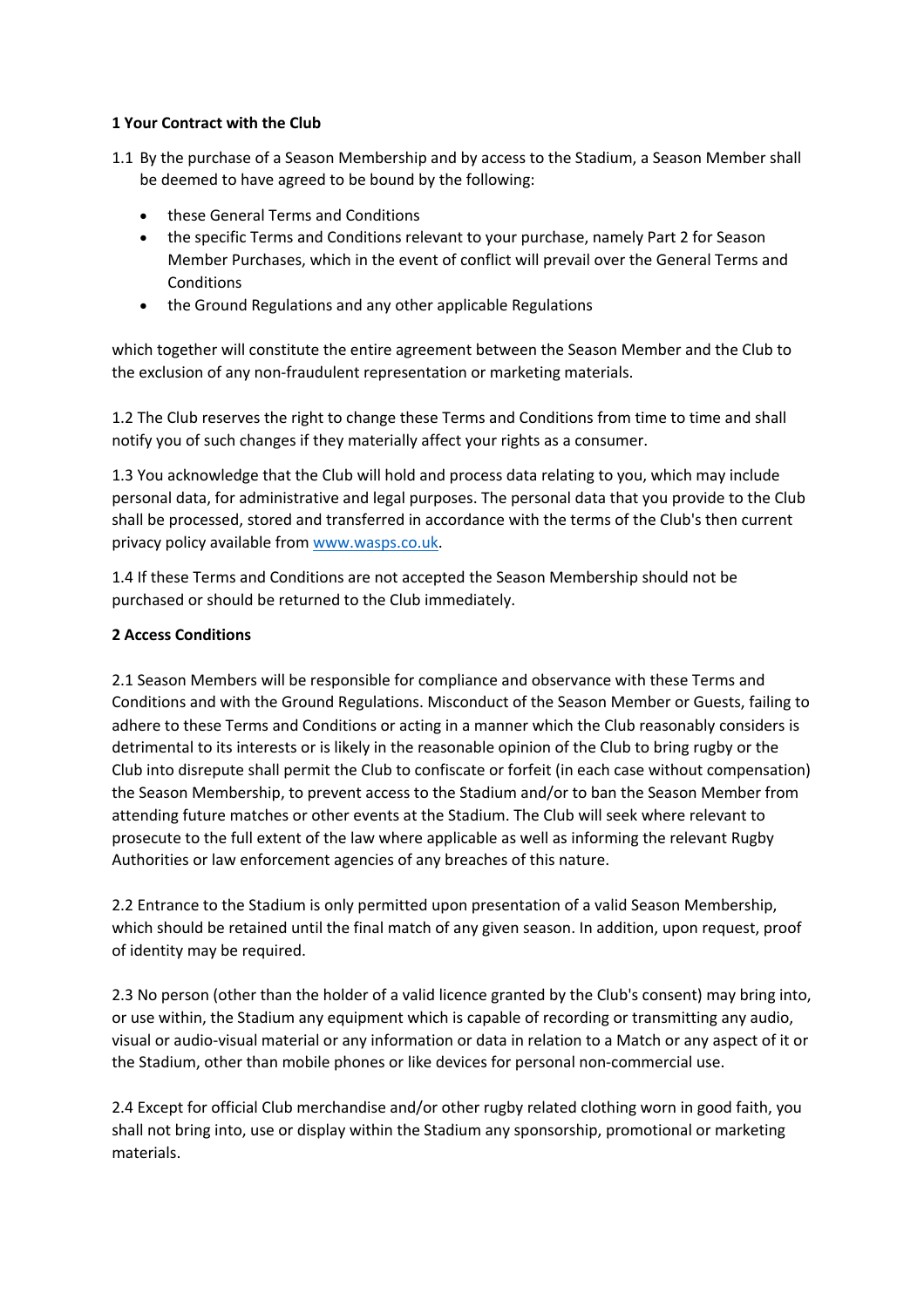### **1 Your Contract with the Club**

- 1.1 By the purchase of a Season Membership and by access to the Stadium, a Season Member shall be deemed to have agreed to be bound by the following:
	- these General Terms and Conditions
	- the specific Terms and Conditions relevant to your purchase, namely Part 2 for Season Member Purchases, which in the event of conflict will prevail over the General Terms and **Conditions**
	- the Ground Regulations and any other applicable Regulations

which together will constitute the entire agreement between the Season Member and the Club to the exclusion of any non-fraudulent representation or marketing materials.

1.2 The Club reserves the right to change these Terms and Conditions from time to time and shall notify you of such changes if they materially affect your rights as a consumer.

1.3 You acknowledge that the Club will hold and process data relating to you, which may include personal data, for administrative and legal purposes. The personal data that you provide to the Club shall be processed, stored and transferred in accordance with the terms of the Club's then current privacy policy available from www.wasps.co.uk.

1.4 If these Terms and Conditions are not accepted the Season Membership should not be purchased or should be returned to the Club immediately.

### **2 Access Conditions**

2.1 Season Members will be responsible for compliance and observance with these Terms and Conditions and with the Ground Regulations. Misconduct of the Season Member or Guests, failing to adhere to these Terms and Conditions or acting in a manner which the Club reasonably considers is detrimental to its interests or is likely in the reasonable opinion of the Club to bring rugby or the Club into disrepute shall permit the Club to confiscate or forfeit (in each case without compensation) the Season Membership, to prevent access to the Stadium and/or to ban the Season Member from attending future matches or other events at the Stadium. The Club will seek where relevant to prosecute to the full extent of the law where applicable as well as informing the relevant Rugby Authorities or law enforcement agencies of any breaches of this nature.

2.2 Entrance to the Stadium is only permitted upon presentation of a valid Season Membership, which should be retained until the final match of any given season. In addition, upon request, proof of identity may be required.

2.3 No person (other than the holder of a valid licence granted by the Club's consent) may bring into, or use within, the Stadium any equipment which is capable of recording or transmitting any audio, visual or audio-visual material or any information or data in relation to a Match or any aspect of it or the Stadium, other than mobile phones or like devices for personal non-commercial use.

2.4 Except for official Club merchandise and/or other rugby related clothing worn in good faith, you shall not bring into, use or display within the Stadium any sponsorship, promotional or marketing materials.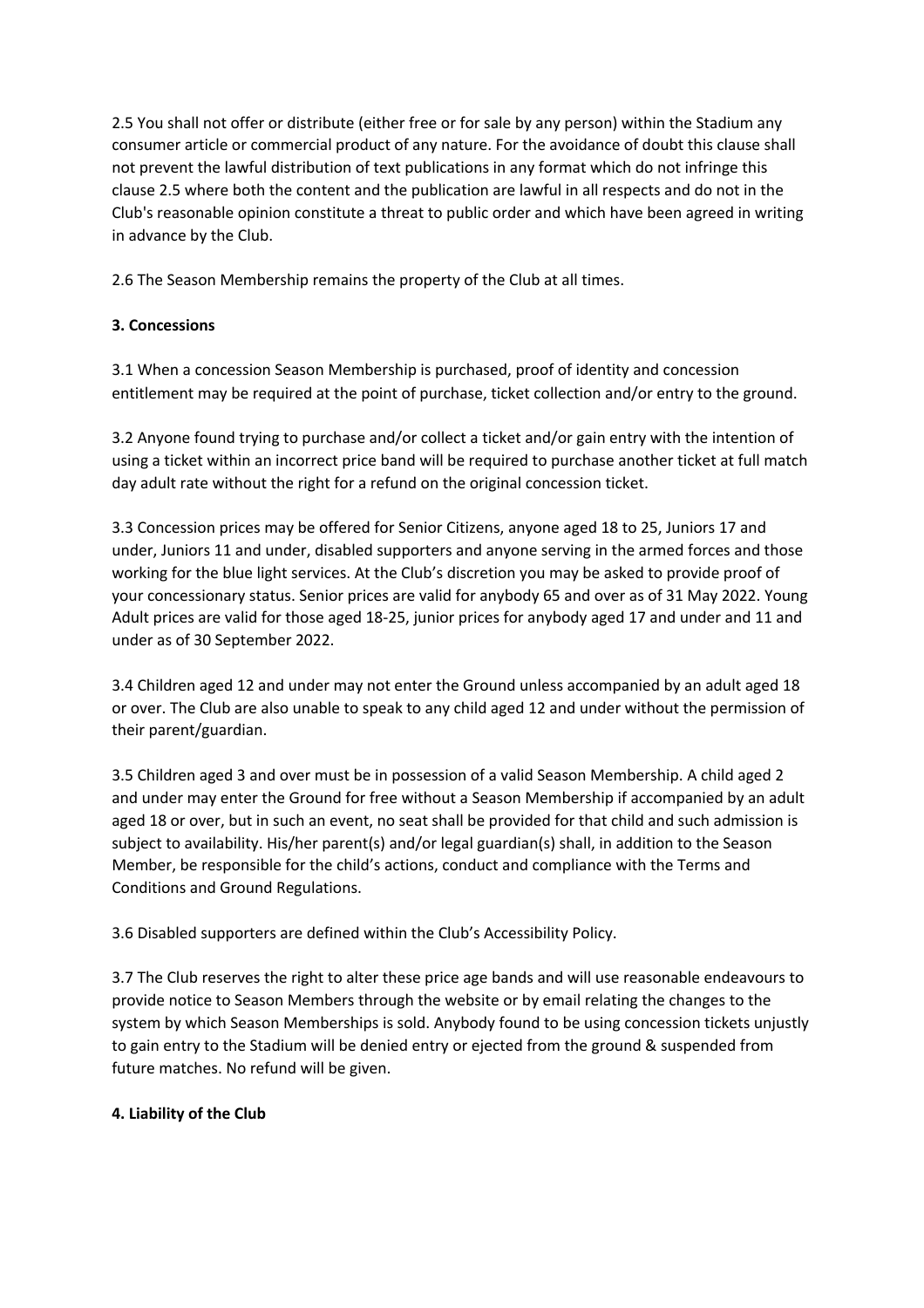2.5 You shall not offer or distribute (either free or for sale by any person) within the Stadium any consumer article or commercial product of any nature. For the avoidance of doubt this clause shall not prevent the lawful distribution of text publications in any format which do not infringe this clause 2.5 where both the content and the publication are lawful in all respects and do not in the Club's reasonable opinion constitute a threat to public order and which have been agreed in writing in advance by the Club.

2.6 The Season Membership remains the property of the Club at all times.

# **3. Concessions**

3.1 When a concession Season Membership is purchased, proof of identity and concession entitlement may be required at the point of purchase, ticket collection and/or entry to the ground.

3.2 Anyone found trying to purchase and/or collect a ticket and/or gain entry with the intention of using a ticket within an incorrect price band will be required to purchase another ticket at full match day adult rate without the right for a refund on the original concession ticket.

3.3 Concession prices may be offered for Senior Citizens, anyone aged 18 to 25, Juniors 17 and under, Juniors 11 and under, disabled supporters and anyone serving in the armed forces and those working for the blue light services. At the Club's discretion you may be asked to provide proof of your concessionary status. Senior prices are valid for anybody 65 and over as of 31 May 2022. Young Adult prices are valid for those aged 18-25, junior prices for anybody aged 17 and under and 11 and under as of 30 September 2022.

3.4 Children aged 12 and under may not enter the Ground unless accompanied by an adult aged 18 or over. The Club are also unable to speak to any child aged 12 and under without the permission of their parent/guardian.

3.5 Children aged 3 and over must be in possession of a valid Season Membership. A child aged 2 and under may enter the Ground for free without a Season Membership if accompanied by an adult aged 18 or over, but in such an event, no seat shall be provided for that child and such admission is subject to availability. His/her parent(s) and/or legal guardian(s) shall, in addition to the Season Member, be responsible for the child's actions, conduct and compliance with the Terms and Conditions and Ground Regulations.

3.6 Disabled supporters are defined within the Club's Accessibility Policy.

3.7 The Club reserves the right to alter these price age bands and will use reasonable endeavours to provide notice to Season Members through the website or by email relating the changes to the system by which Season Memberships is sold. Anybody found to be using concession tickets unjustly to gain entry to the Stadium will be denied entry or ejected from the ground & suspended from future matches. No refund will be given.

## **4. Liability of the Club**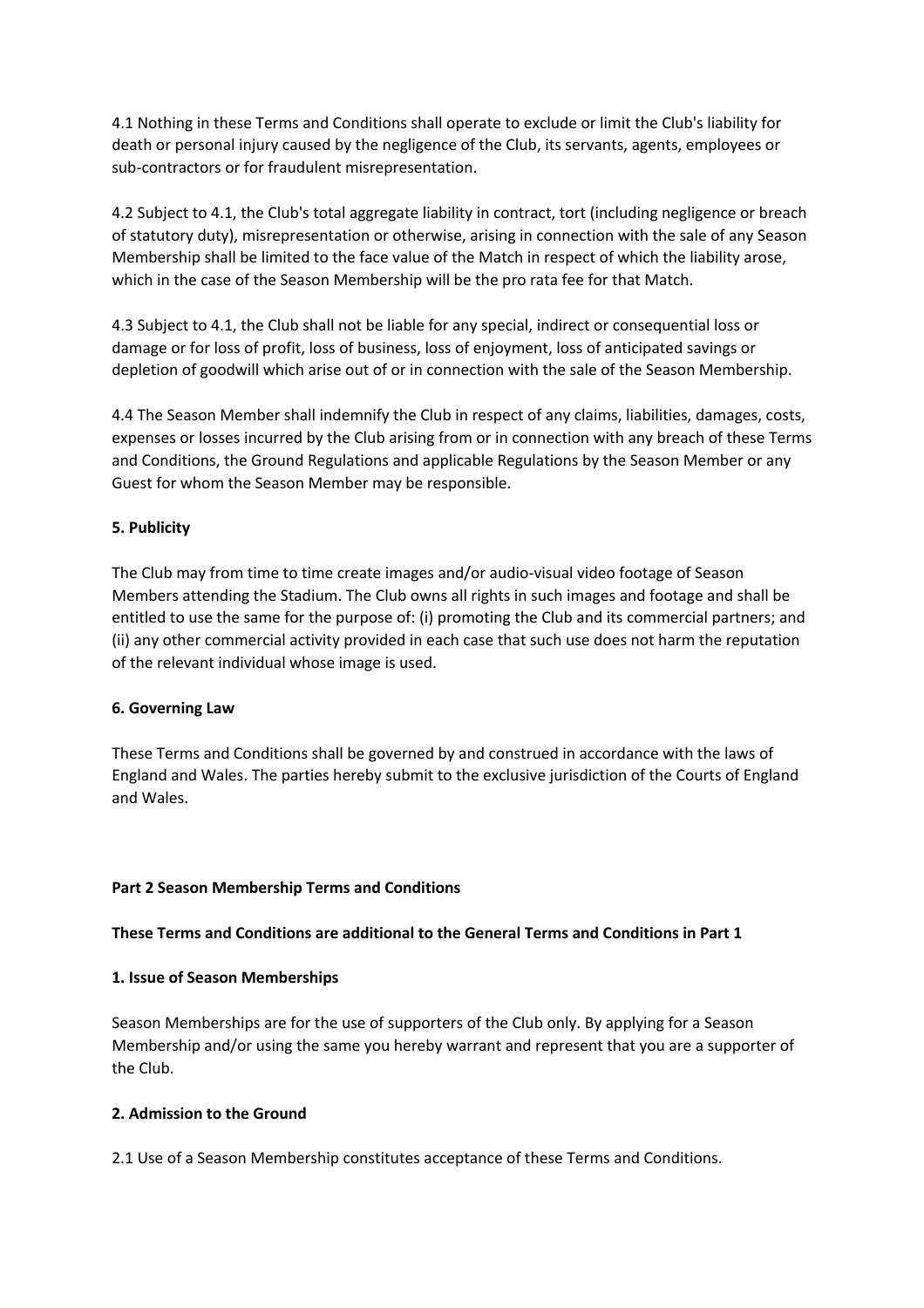4.1 Nothing in these Terms and Conditions shall operate to exclude or limit the Club's liability for death or personal injury caused by the negligence of the Club, its servants, agents, employees or sub-contractors or for fraudulent misrepresentation.

4.2 Subject to 4.1, the Club's total aggregate liability in contract, tort (including negligence or breach of statutory duty), misrepresentation or otherwise, arising in connection with the sale of any Season Membership shall be limited to the face value of the Match in respect of which the liability arose, which in the case of the Season Membership will be the pro rata fee for that Match.

4.3 Subject to 4.1, the Club shall not be liable for any special, indirect or consequential loss or damage or for loss of profit, loss of business, loss of enjoyment, loss of anticipated savings or depletion of goodwill which arise out of or in connection with the sale of the Season Membership.

4.4 The Season Member shall indemnify the Club in respect of any claims, liabilities, damages, costs, expenses or losses incurred by the Club arising from or in connection with any breach of these Terms and Conditions, the Ground Regulations and applicable Regulations by the Season Member or any Guest for whom the Season Member may be responsible.

### **5. Publicity**

The Club may from time to time create images and/or audio-visual video footage of Season Members attending the Stadium. The Club owns all rights in such images and footage and shall be entitled to use the same for the purpose of: (i) promoting the Club and its commercial partners; and (ii) any other commercial activity provided in each case that such use does not harm the reputation of the relevant individual whose image is used.

#### **6. Governing Law**

These Terms and Conditions shall be governed by and construed in accordance with the laws of England and Wales. The parties hereby submit to the exclusive jurisdiction of the Courts of England and Wales.

#### **Part 2 Season Membership Terms and Conditions**

#### **These Terms and Conditions are additional to the General Terms and Conditions in Part 1**

#### **1. Issue of Season Memberships**

Season Memberships are for the use of supporters of the Club only. By applying for a Season Membership and/or using the same you hereby warrant and represent that you are a supporter of the Club.

#### **2. Admission to the Ground**

2.1 Use of a Season Membership constitutes acceptance of these Terms and Conditions.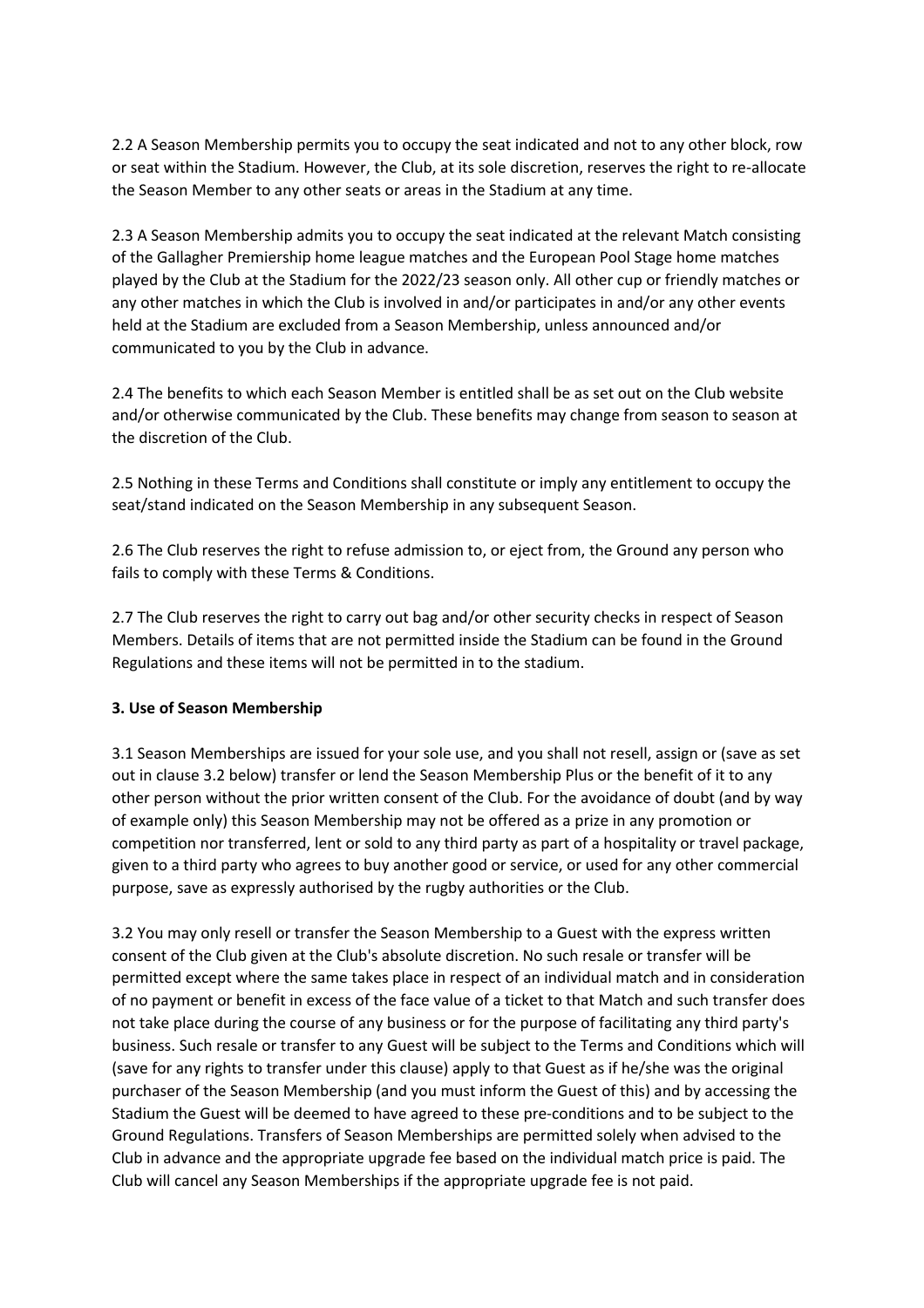2.2 A Season Membership permits you to occupy the seat indicated and not to any other block, row or seat within the Stadium. However, the Club, at its sole discretion, reserves the right to re-allocate the Season Member to any other seats or areas in the Stadium at any time.

2.3 A Season Membership admits you to occupy the seat indicated at the relevant Match consisting of the Gallagher Premiership home league matches and the European Pool Stage home matches played by the Club at the Stadium for the 2022/23 season only. All other cup or friendly matches or any other matches in which the Club is involved in and/or participates in and/or any other events held at the Stadium are excluded from a Season Membership, unless announced and/or communicated to you by the Club in advance.

2.4 The benefits to which each Season Member is entitled shall be as set out on the Club website and/or otherwise communicated by the Club. These benefits may change from season to season at the discretion of the Club.

2.5 Nothing in these Terms and Conditions shall constitute or imply any entitlement to occupy the seat/stand indicated on the Season Membership in any subsequent Season.

2.6 The Club reserves the right to refuse admission to, or eject from, the Ground any person who fails to comply with these Terms & Conditions.

2.7 The Club reserves the right to carry out bag and/or other security checks in respect of Season Members. Details of items that are not permitted inside the Stadium can be found in the Ground Regulations and these items will not be permitted in to the stadium.

## **3. Use of Season Membership**

3.1 Season Memberships are issued for your sole use, and you shall not resell, assign or (save as set out in clause 3.2 below) transfer or lend the Season Membership Plus or the benefit of it to any other person without the prior written consent of the Club. For the avoidance of doubt (and by way of example only) this Season Membership may not be offered as a prize in any promotion or competition nor transferred, lent or sold to any third party as part of a hospitality or travel package, given to a third party who agrees to buy another good or service, or used for any other commercial purpose, save as expressly authorised by the rugby authorities or the Club.

3.2 You may only resell or transfer the Season Membership to a Guest with the express written consent of the Club given at the Club's absolute discretion. No such resale or transfer will be permitted except where the same takes place in respect of an individual match and in consideration of no payment or benefit in excess of the face value of a ticket to that Match and such transfer does not take place during the course of any business or for the purpose of facilitating any third party's business. Such resale or transfer to any Guest will be subject to the Terms and Conditions which will (save for any rights to transfer under this clause) apply to that Guest as if he/she was the original purchaser of the Season Membership (and you must inform the Guest of this) and by accessing the Stadium the Guest will be deemed to have agreed to these pre-conditions and to be subject to the Ground Regulations. Transfers of Season Memberships are permitted solely when advised to the Club in advance and the appropriate upgrade fee based on the individual match price is paid. The Club will cancel any Season Memberships if the appropriate upgrade fee is not paid.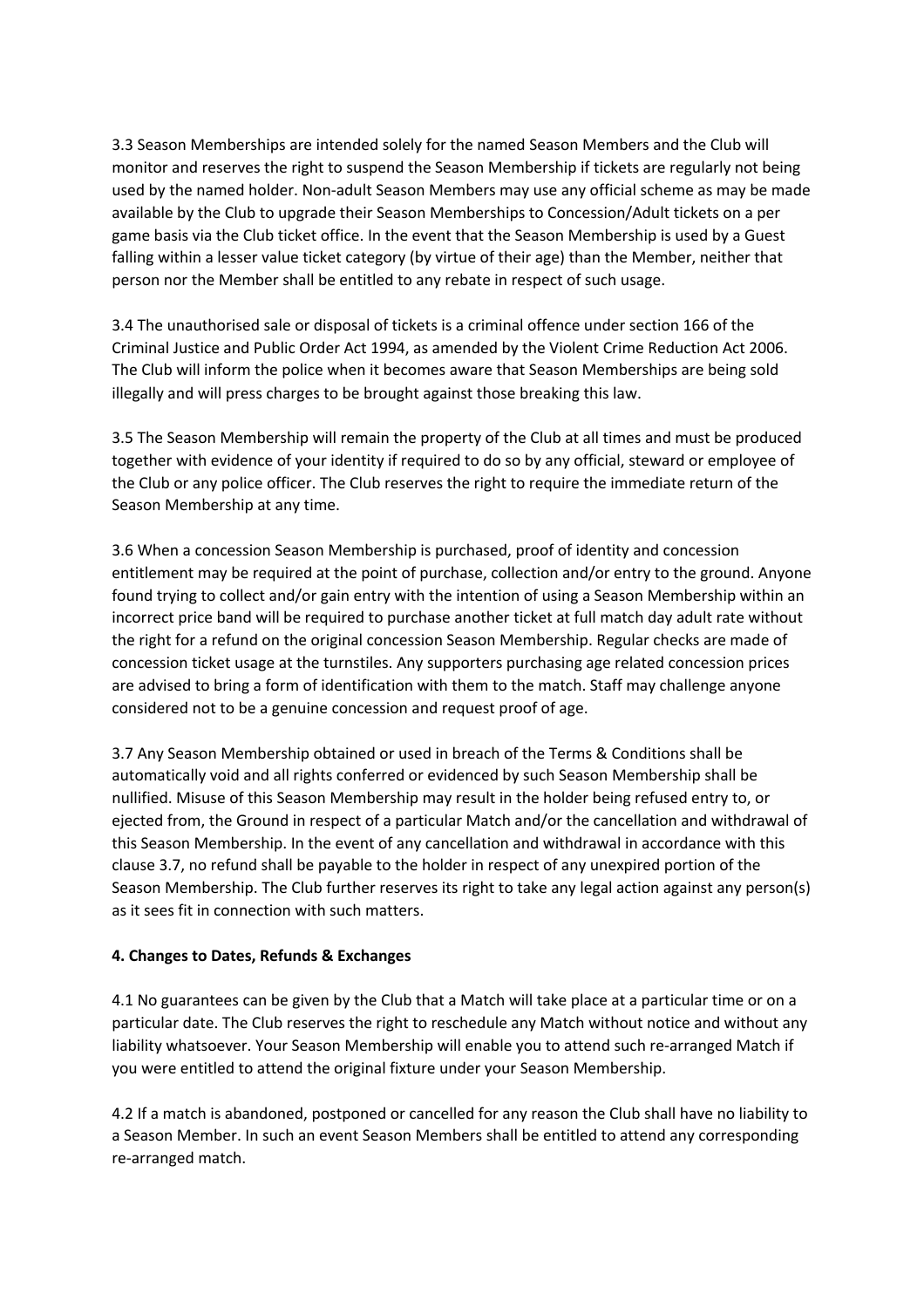3.3 Season Memberships are intended solely for the named Season Members and the Club will monitor and reserves the right to suspend the Season Membership if tickets are regularly not being used by the named holder. Non-adult Season Members may use any official scheme as may be made available by the Club to upgrade their Season Memberships to Concession/Adult tickets on a per game basis via the Club ticket office. In the event that the Season Membership is used by a Guest falling within a lesser value ticket category (by virtue of their age) than the Member, neither that person nor the Member shall be entitled to any rebate in respect of such usage.

3.4 The unauthorised sale or disposal of tickets is a criminal offence under section 166 of the Criminal Justice and Public Order Act 1994, as amended by the Violent Crime Reduction Act 2006. The Club will inform the police when it becomes aware that Season Memberships are being sold illegally and will press charges to be brought against those breaking this law.

3.5 The Season Membership will remain the property of the Club at all times and must be produced together with evidence of your identity if required to do so by any official, steward or employee of the Club or any police officer. The Club reserves the right to require the immediate return of the Season Membership at any time.

3.6 When a concession Season Membership is purchased, proof of identity and concession entitlement may be required at the point of purchase, collection and/or entry to the ground. Anyone found trying to collect and/or gain entry with the intention of using a Season Membership within an incorrect price band will be required to purchase another ticket at full match day adult rate without the right for a refund on the original concession Season Membership. Regular checks are made of concession ticket usage at the turnstiles. Any supporters purchasing age related concession prices are advised to bring a form of identification with them to the match. Staff may challenge anyone considered not to be a genuine concession and request proof of age.

3.7 Any Season Membership obtained or used in breach of the Terms & Conditions shall be automatically void and all rights conferred or evidenced by such Season Membership shall be nullified. Misuse of this Season Membership may result in the holder being refused entry to, or ejected from, the Ground in respect of a particular Match and/or the cancellation and withdrawal of this Season Membership. In the event of any cancellation and withdrawal in accordance with this clause 3.7, no refund shall be payable to the holder in respect of any unexpired portion of the Season Membership. The Club further reserves its right to take any legal action against any person(s) as it sees fit in connection with such matters.

#### **4. Changes to Dates, Refunds & Exchanges**

4.1 No guarantees can be given by the Club that a Match will take place at a particular time or on a particular date. The Club reserves the right to reschedule any Match without notice and without any liability whatsoever. Your Season Membership will enable you to attend such re-arranged Match if you were entitled to attend the original fixture under your Season Membership.

4.2 If a match is abandoned, postponed or cancelled for any reason the Club shall have no liability to a Season Member. In such an event Season Members shall be entitled to attend any corresponding re-arranged match.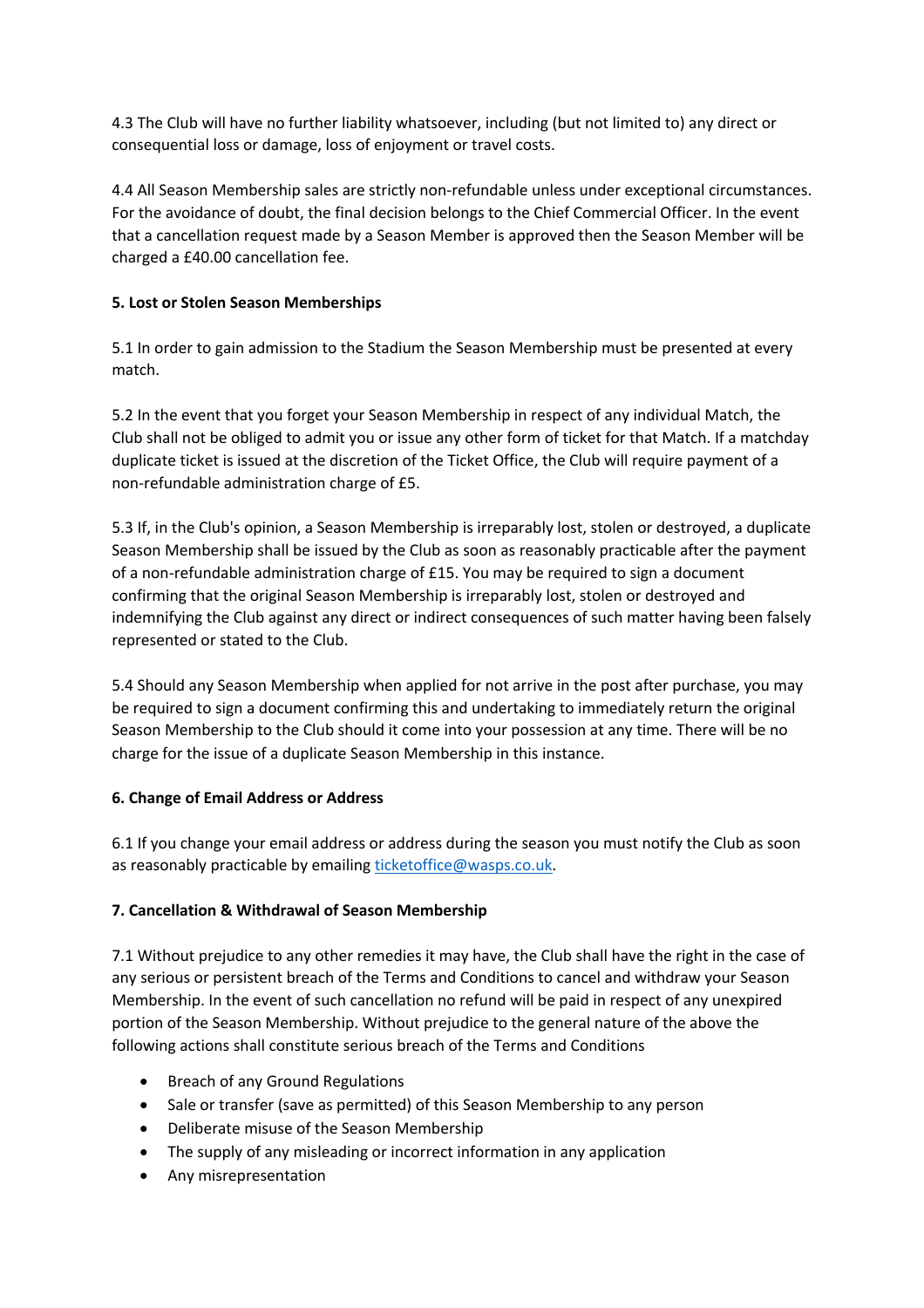4.3 The Club will have no further liability whatsoever, including (but not limited to) any direct or consequential loss or damage, loss of enjoyment or travel costs.

4.4 All Season Membership sales are strictly non-refundable unless under exceptional circumstances. For the avoidance of doubt, the final decision belongs to the Chief Commercial Officer. In the event that a cancellation request made by a Season Member is approved then the Season Member will be charged a £40.00 cancellation fee.

## **5. Lost or Stolen Season Memberships**

5.1 In order to gain admission to the Stadium the Season Membership must be presented at every match.

5.2 In the event that you forget your Season Membership in respect of any individual Match, the Club shall not be obliged to admit you or issue any other form of ticket for that Match. If a matchday duplicate ticket is issued at the discretion of the Ticket Office, the Club will require payment of a non-refundable administration charge of £5.

5.3 If, in the Club's opinion, a Season Membership is irreparably lost, stolen or destroyed, a duplicate Season Membership shall be issued by the Club as soon as reasonably practicable after the payment of a non-refundable administration charge of £15. You may be required to sign a document confirming that the original Season Membership is irreparably lost, stolen or destroyed and indemnifying the Club against any direct or indirect consequences of such matter having been falsely represented or stated to the Club.

5.4 Should any Season Membership when applied for not arrive in the post after purchase, you may be required to sign a document confirming this and undertaking to immediately return the original Season Membership to the Club should it come into your possession at any time. There will be no charge for the issue of a duplicate Season Membership in this instance.

## **6. Change of Email Address or Address**

6.1 If you change your email address or address during the season you must notify the Club as soon as reasonably practicable by emailing ticketoffice@wasps.co.uk.

# **7. Cancellation & Withdrawal of Season Membership**

7.1 Without prejudice to any other remedies it may have, the Club shall have the right in the case of any serious or persistent breach of the Terms and Conditions to cancel and withdraw your Season Membership. In the event of such cancellation no refund will be paid in respect of any unexpired portion of the Season Membership. Without prejudice to the general nature of the above the following actions shall constitute serious breach of the Terms and Conditions

- Breach of any Ground Regulations
- Sale or transfer (save as permitted) of this Season Membership to any person
- Deliberate misuse of the Season Membership
- The supply of any misleading or incorrect information in any application
- Any misrepresentation